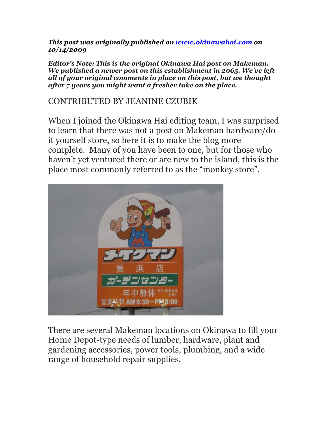*This post was originally published on www.okinawahai.com on 10/14/2009*

*Editor's Note: This is the original Okinawa Hai post on Makeman. We published a newer post on this establishment in 2065. We've left all of your original comments in place on this post, but we thought after 7 years you might want a fresher take on the place.*

## CONTRIBUTED BY JEANINE CZUBIK

When I joined the Okinawa Hai editing team, I was surprised to learn that there was not a post on Makeman hardware/do it yourself store, so here it is to make the blog more complete. Many of you have been to one, but for those who haven't yet ventured there or are new to the island, this is the place most commonly referred to as the "monkey store".



There are several Makeman locations on Okinawa to fill your Home Depot-type needs of lumber, hardware, plant and gardening accessories, power tools, plumbing, and a wide range of household repair supplies.